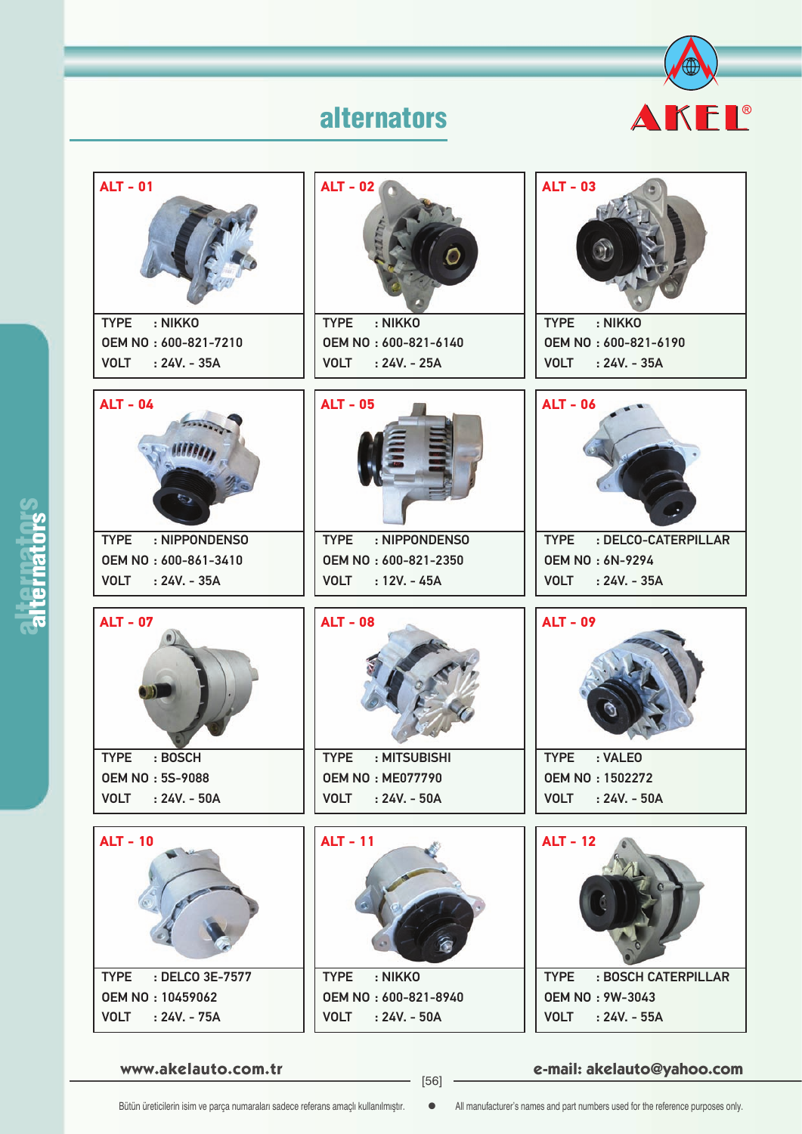



**www.akelauto.com.tr e-mail: akelauto@yahoo.com** [56]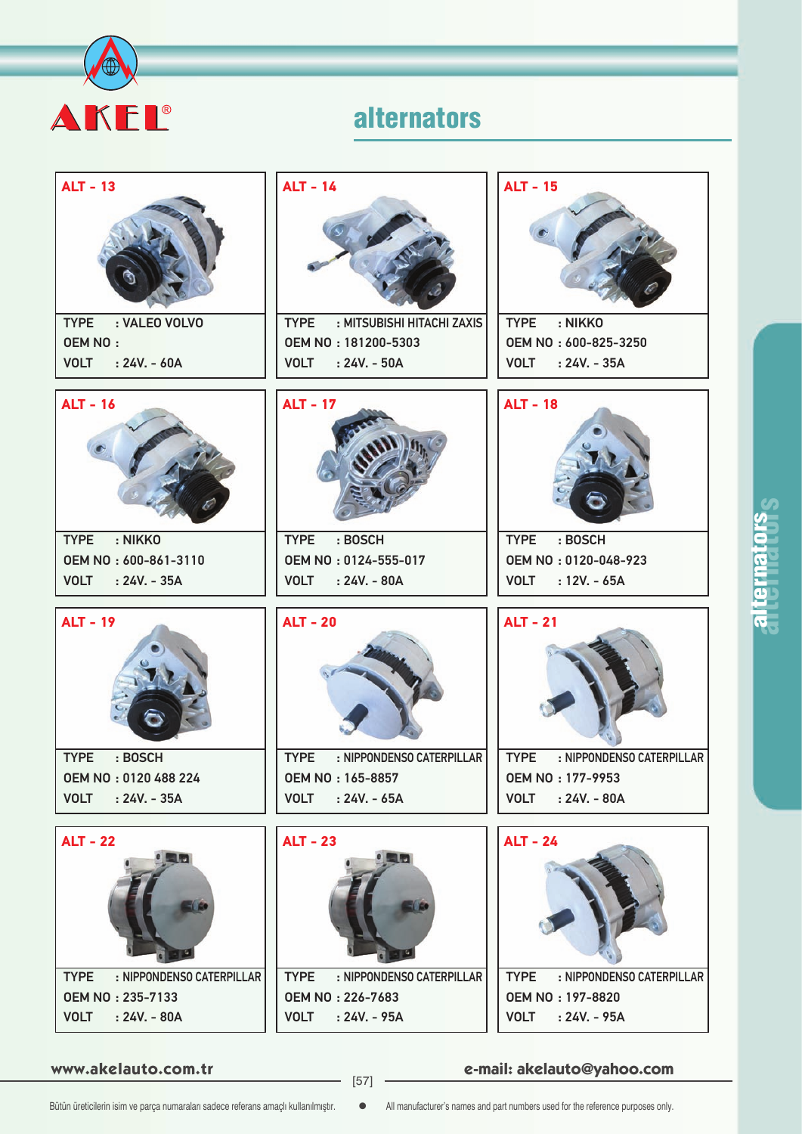

| <b>ALT - 13</b>                          | <b>ALT - 14</b>                           | <b>ALT - 15</b>                          |
|------------------------------------------|-------------------------------------------|------------------------------------------|
|                                          |                                           |                                          |
| : VALEO VOLVO<br><b>TYPE</b>             | : MITSUBISHI HITACHI ZAXIS<br><b>TYPE</b> | : NIKKO<br><b>TYPE</b>                   |
| <b>OEM NO:</b>                           | OEM NO: 181200-5303                       | OEM NO: 600-825-3250                     |
| $: 24V - 60A$<br><b>VOLT</b>             | <b>VOLT</b><br>$: 24V. - 50A$             | <b>VOLT</b><br>$: 24V - 35A$             |
| <b>ALT - 16</b>                          | <b>ALT - 17</b>                           | <b>ALT - 18</b>                          |
| : NIKKO<br><b>TYPE</b>                   | : BOSCH<br><b>TYPE</b>                    | : BOSCH<br><b>TYPE</b>                   |
| OEM NO: 600-861-3110                     | OEM NO: 0124-555-017                      | OEM NO: 0120-048-923                     |
| <b>VOLT</b><br>$: 24V. - 35A$            | <b>VOLT</b><br>$: 24V. - 80A$             | <b>VOLT</b><br>$: 12V. - 65A$            |
| <b>ALT - 19</b>                          | <b>ALT - 20</b>                           | <b>ALT - 21</b>                          |
| <b>TYPE</b><br>: BOSCH                   | <b>TYPE</b><br>: NIPPONDENSO CATERPILLAR  | <b>TYPE</b><br>: NIPPONDENSO CATERPILLAR |
| OEM NO: 0120 488 224                     | OEM NO: 165-8857                          | OEM NO: 177-9953                         |
| <b>VOLT</b><br>$: 24V. - 35A$            | <b>VOLT</b><br>$: 24V. - 65A$             | <b>VOLT</b><br>$: 24V. - 80A$            |
| <b>ALT - 22</b>                          | <b>ALT - 23</b>                           | <b>ALT - 24</b>                          |
| <b>TYPE</b><br>: NIPPONDENSO CATERPILLAR | : NIPPONDENSO CATERPILLAR<br><b>TYPE</b>  | : NIPPONDENSO CATERPILLAR<br><b>TYPE</b> |
| <b>OEM NO: 235-7133</b>                  | <b>OEM NO: 226-7683</b>                   | OEM NO: 197-8820                         |
| $: 24V. - 80A$<br><b>VOLT</b>            | <b>VOLT</b><br>$: 24V. - 95A$             | $: 24V. - 95A$<br><b>VOLT</b>            |

**www.akelauto.com.tr e-mail: akelauto@yahoo.com** [57]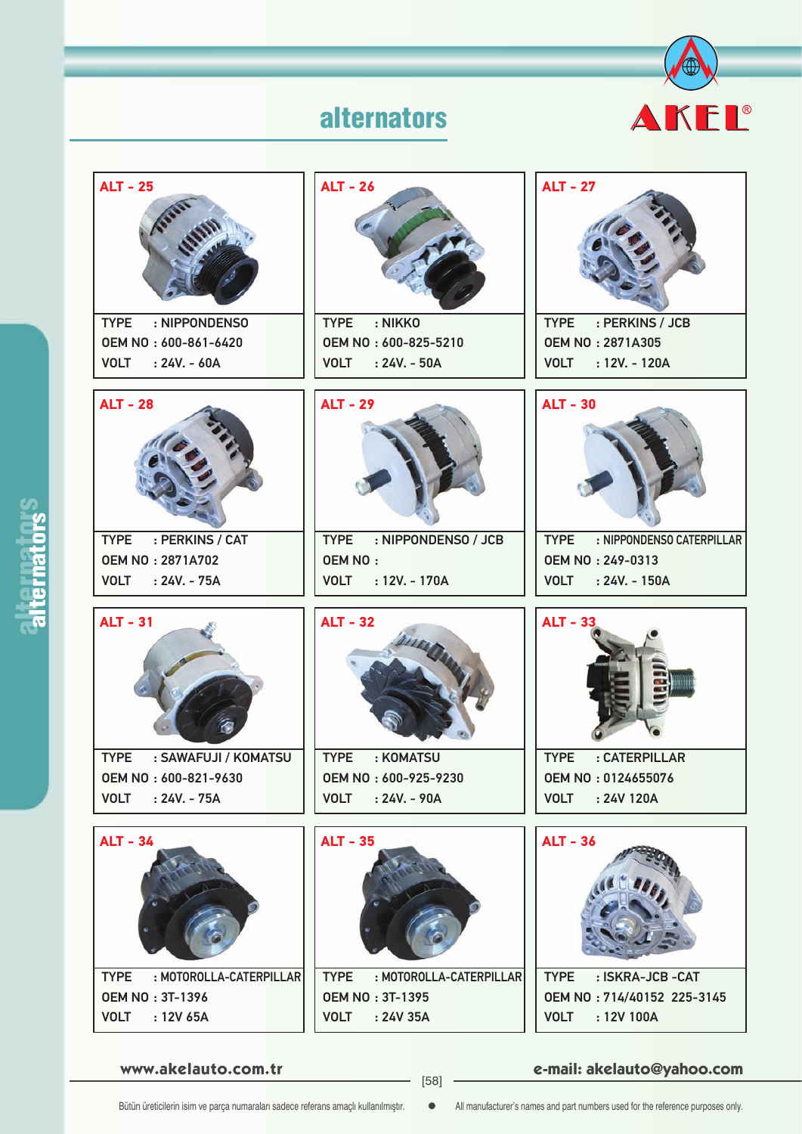



**www.akelauto.com.tr e-mail: akelauto@yahoo.com** [58]